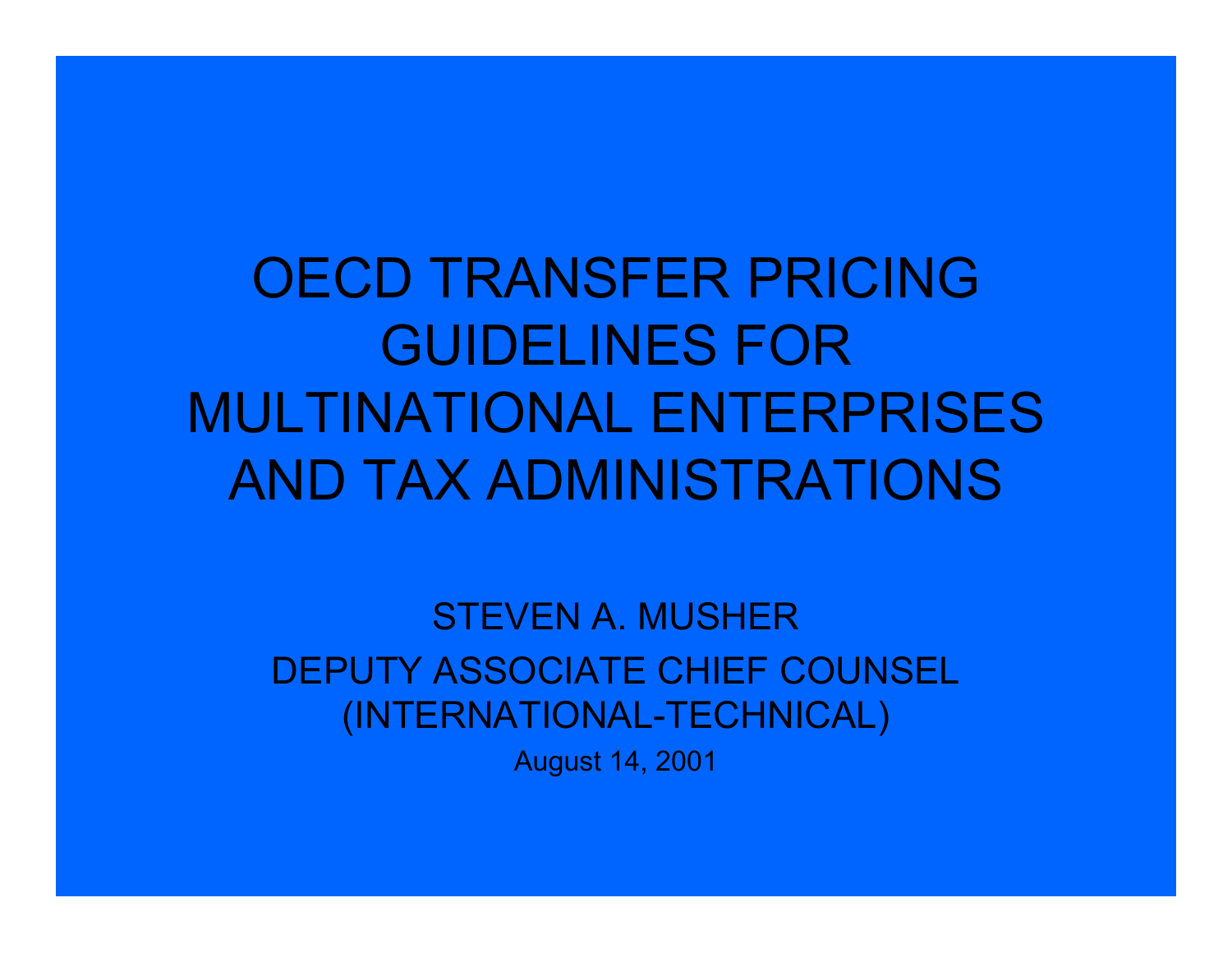OECD TRANSFER PRICING GUIDELINES FOR MULTINATIONAL ENTERPRISES AND TAX ADMINISTRATIONS

STEVEN A. MUSHERDEPUTY ASSOCIATE CHIEF COUNSEL (INTERNATIONAL-TECHNICAL)

August 14, 2001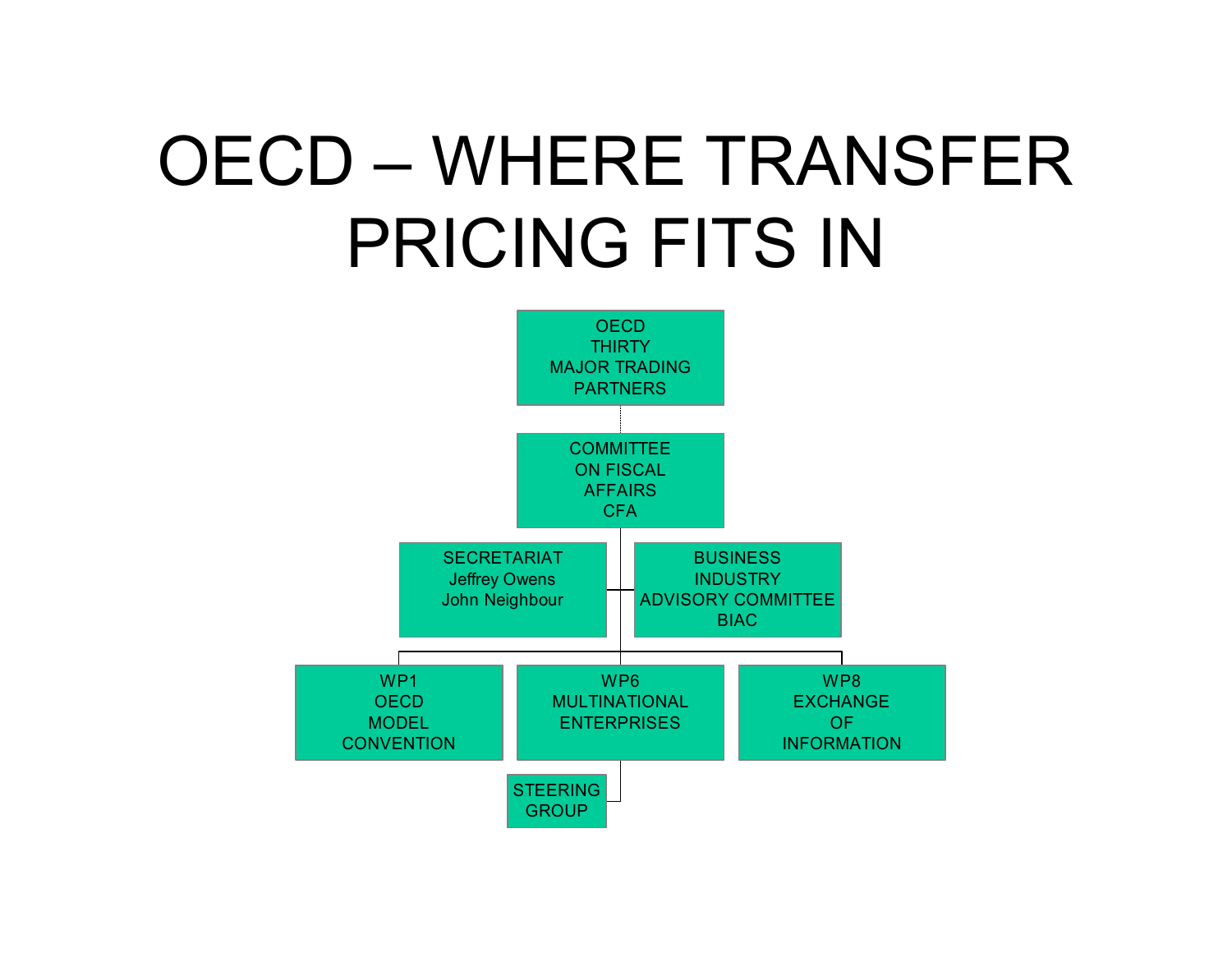# OECD – WHERE TRANSFER PRICING FITS IN

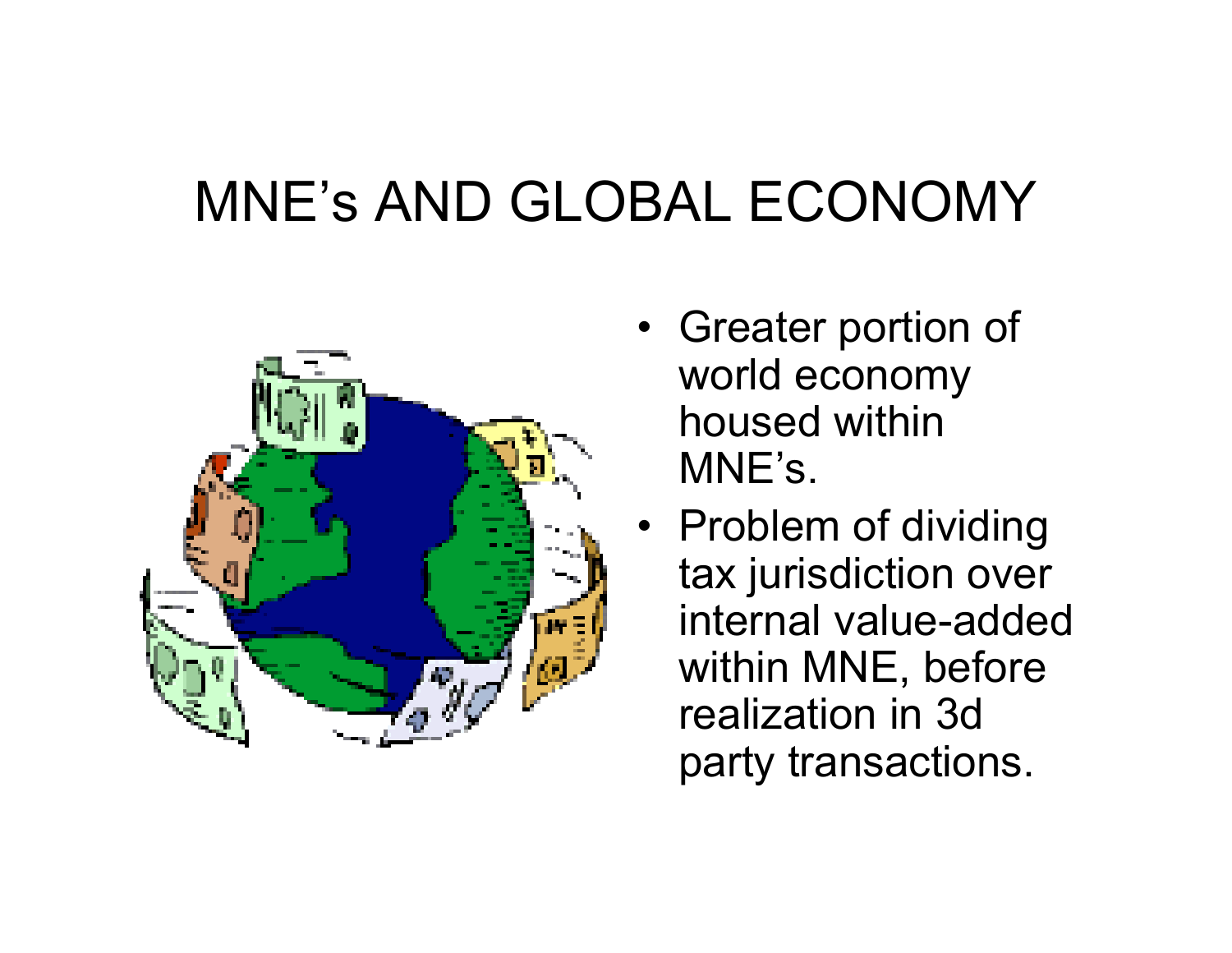### MNE's AND GLOBAL ECONOMY



- Greater portion of world economy housed within MNE's.
- Problem of dividing tax jurisdiction over internal value-added within MNE, before realization in 3d party transactions.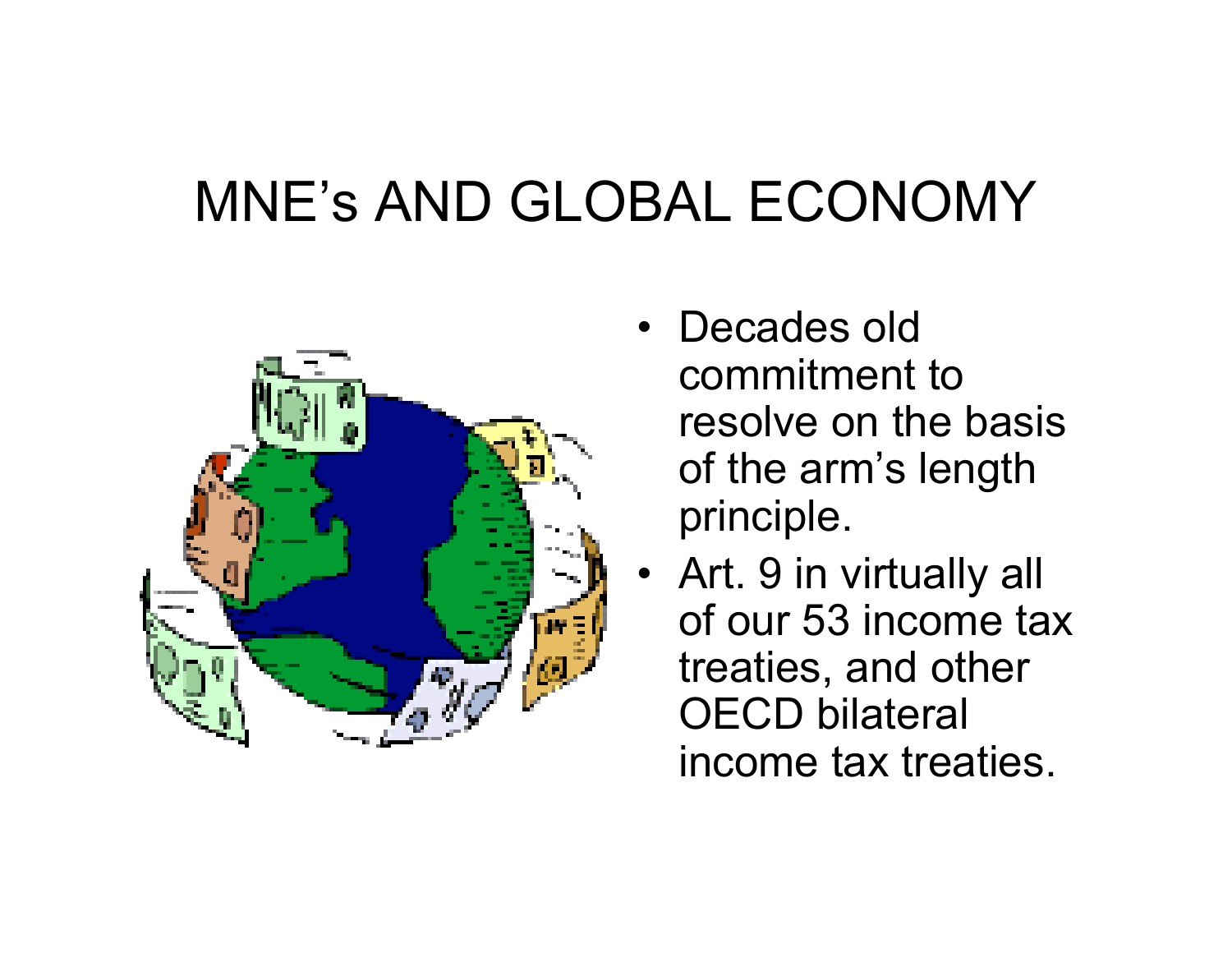### MNE's AND GLOBAL ECONOMY



- Decades old commitment to resolve on the basis of the arm's length principle.
- Art. 9 in virtually all of our 53 income tax treaties, and other OECD bilateral income tax treaties.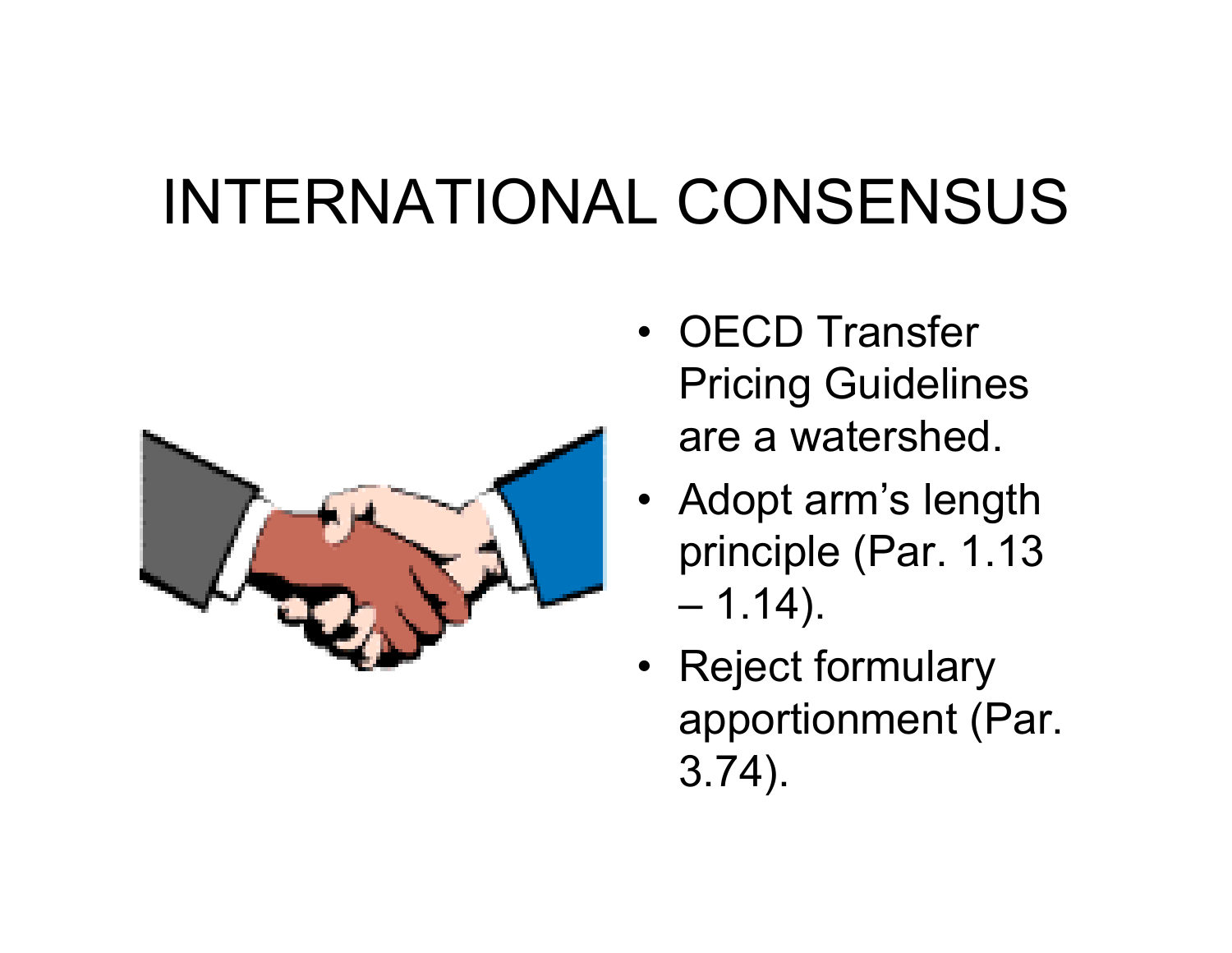### INTERNATIONAL CONSENSUS



- OECD Transfer Pricing Guidelines are a watershed.
- Adopt arm's length principle (Par. 1.13 – 1.14).
- Reject formulary apportionment (Par. 3.74).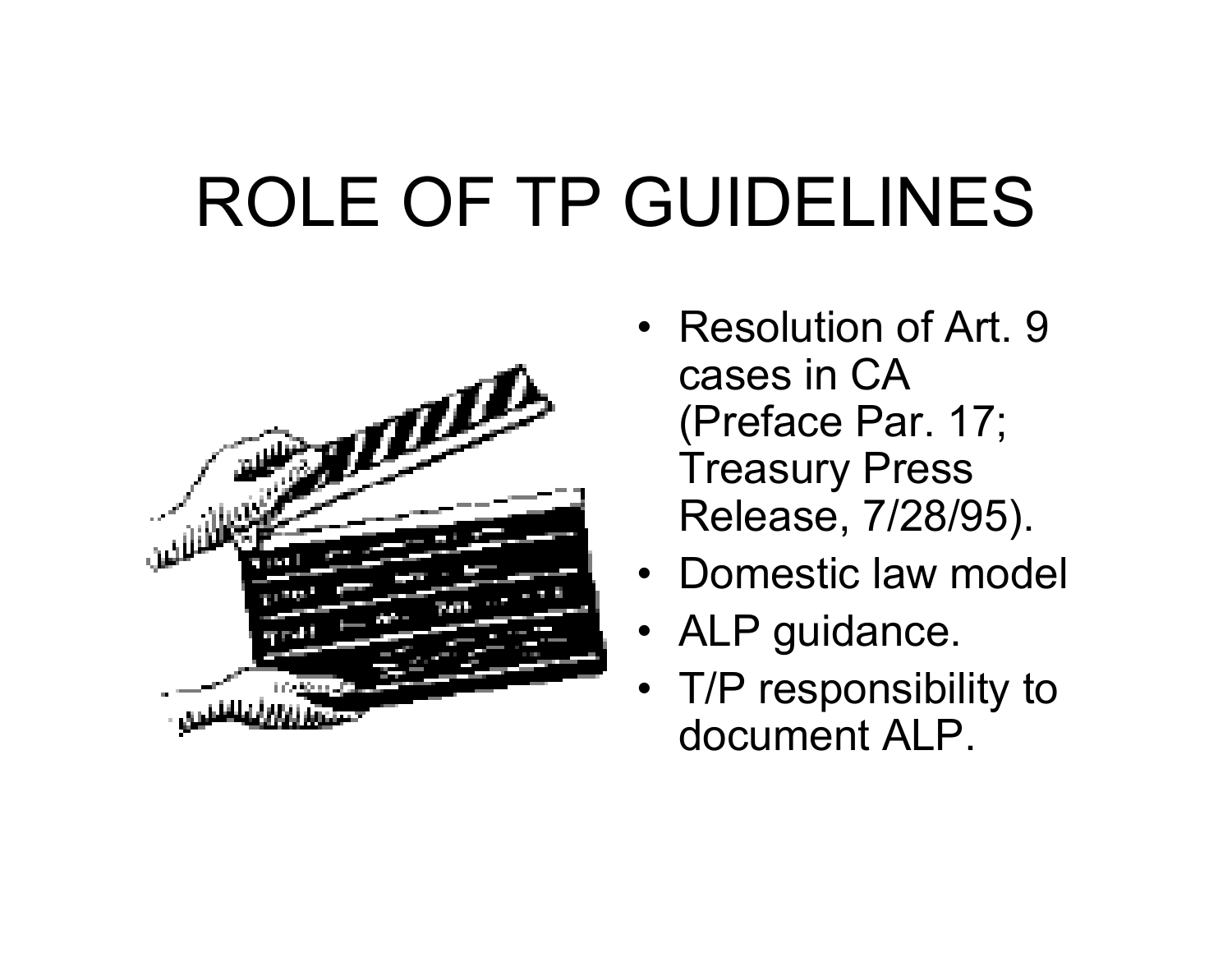# ROLE OF TP GUIDELINES



- •Resolution of Art. 9 cases in CA (Preface Par. 17; Treasury Press Release, 7/28/95).
- •Domestic law model
- ALP guidance.
- T/P responsibility to document ALP.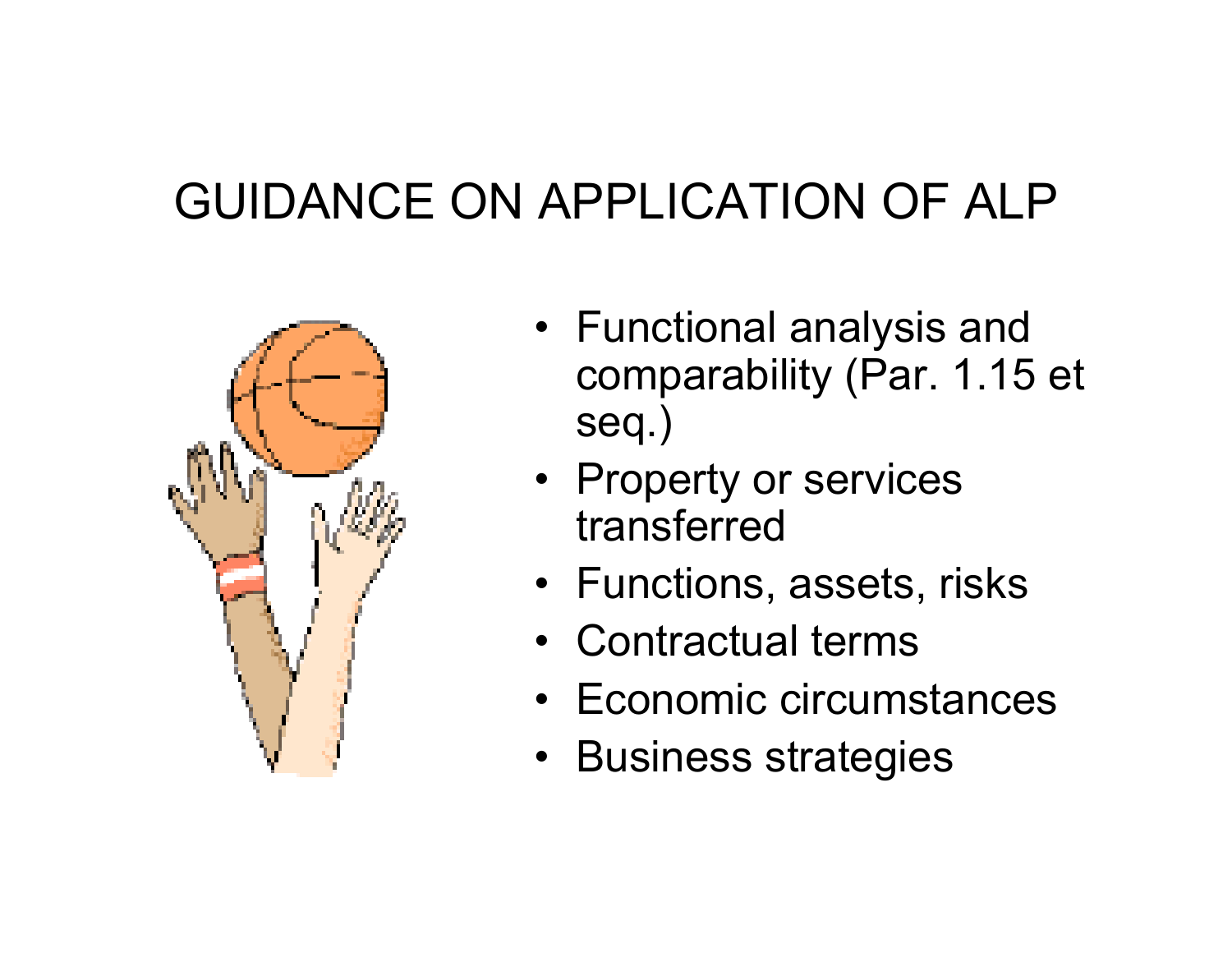#### GUIDANCE ON APPLICATION OF ALP



- Functional analysis and comparability (Par. 1.15 et seq.)
- Property or services transferred
- Functions, assets, risks
- •Contractual terms
- Economic circumstances
- Business strategies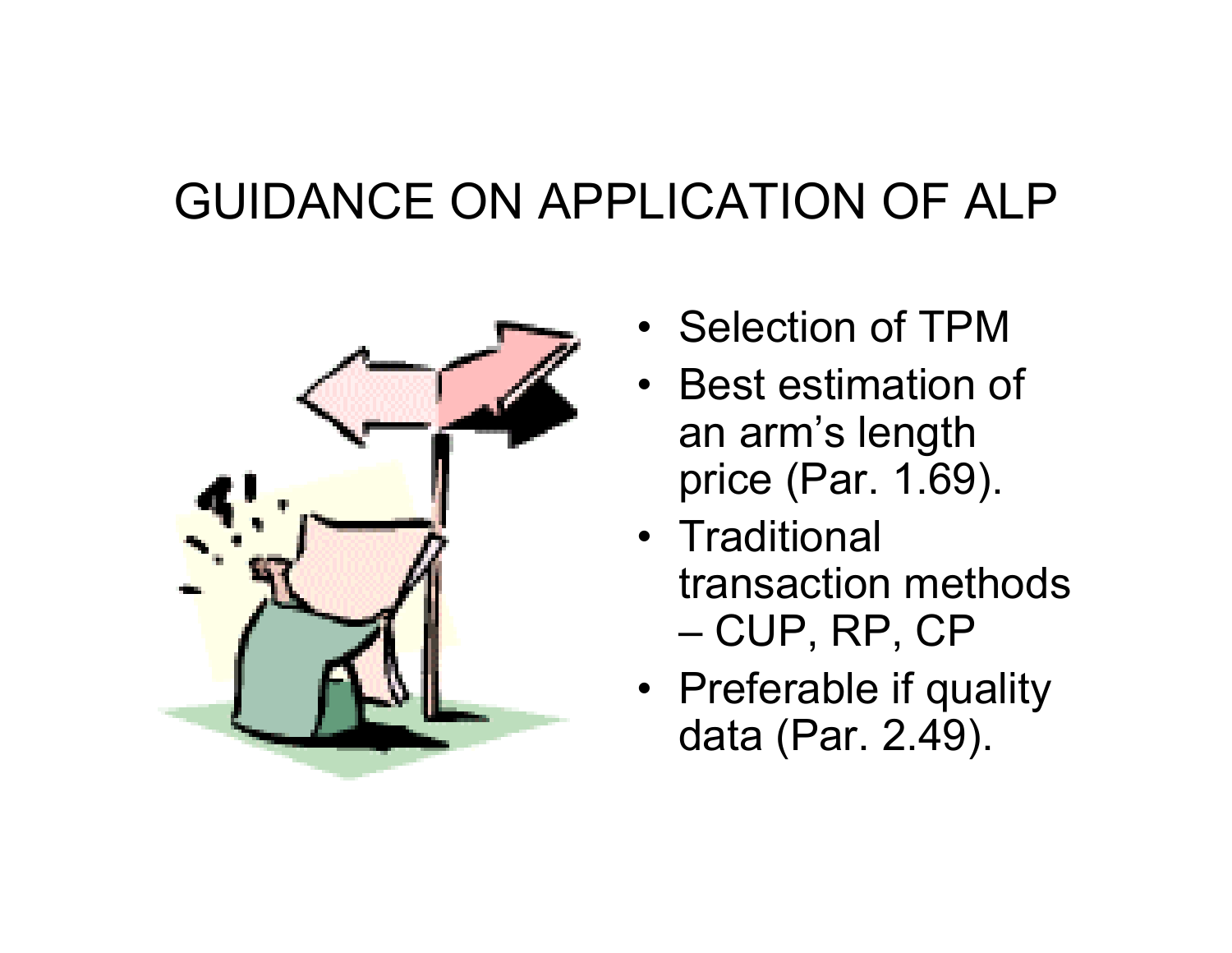#### GUIDANCE ON APPLICATION OF ALP



- Selection of TPM
- Best estimation of an arm's length price (Par. 1.69).
- Traditional transaction methods – CUP, RP, CP
- Preferable if quality data (Par. 2.49).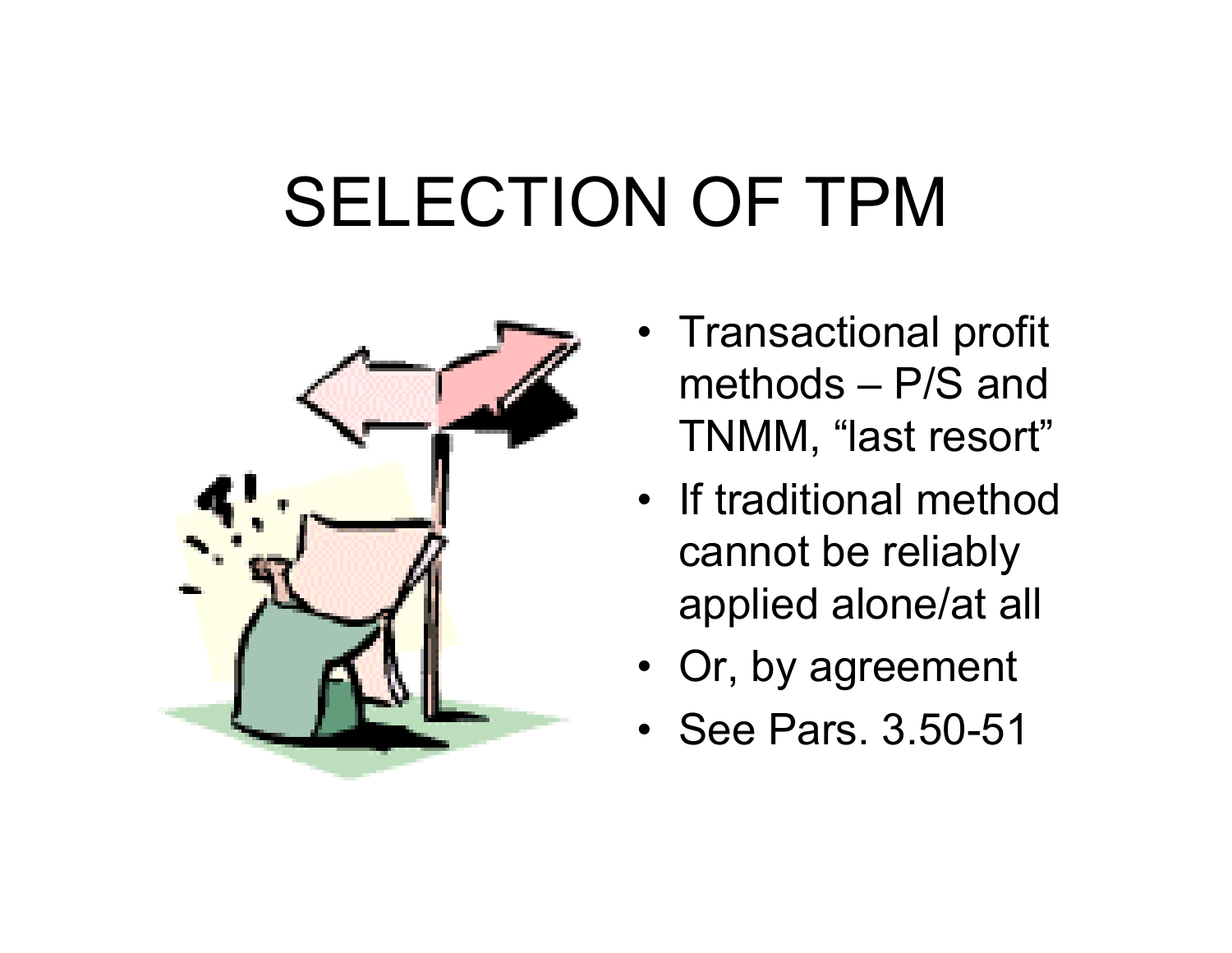## SELECTION OF TPM



- Transactional profit methods – P/S and TNMM, "last resort"
- If traditional method cannot be reliably applied alone/at all
- Or, by agreement
- See Pars. 3.50-51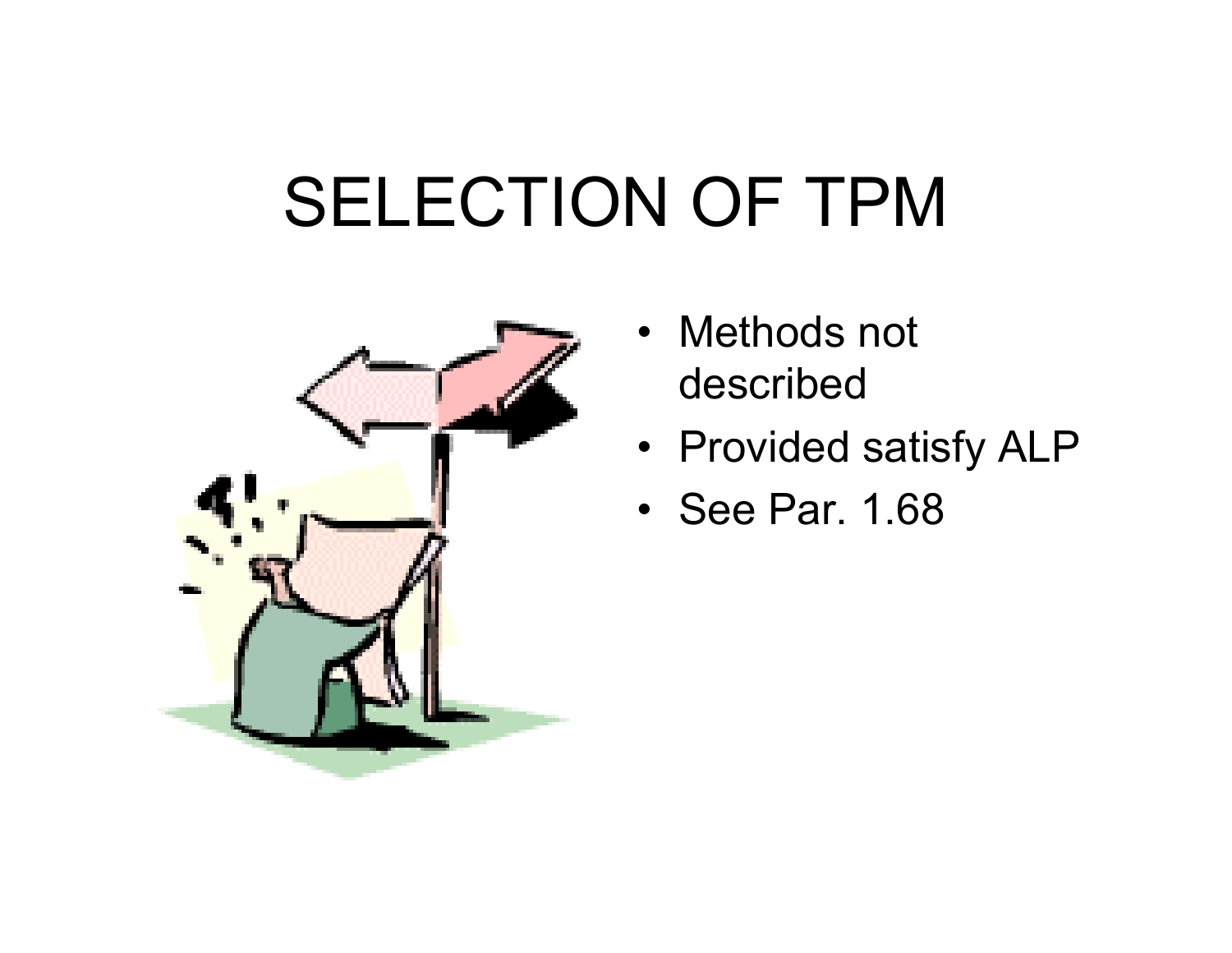### SELECTION OF TPM



- •Methods not described
- Provided satisfy ALP
- See Par. 1.68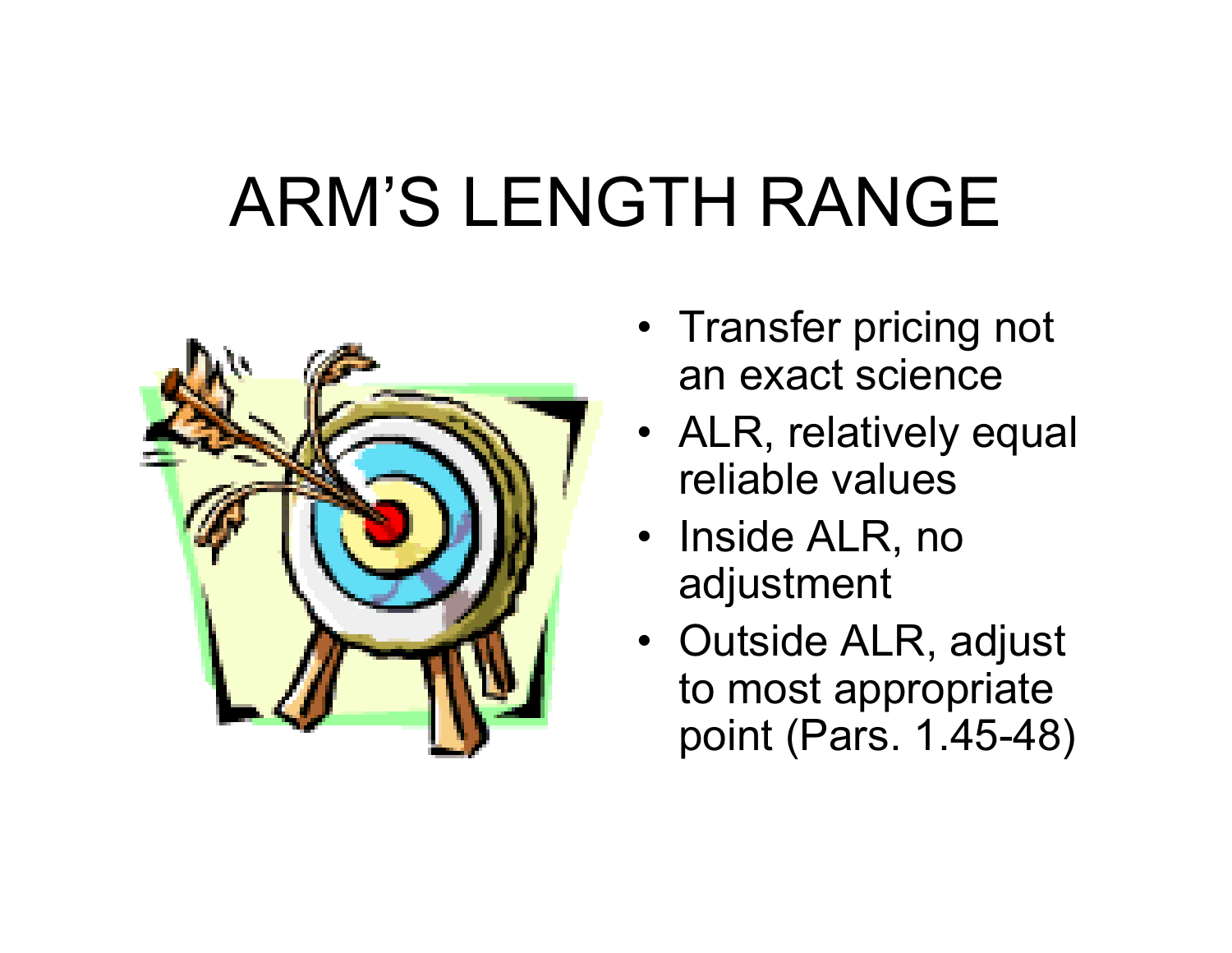# ARM'S LENGTH RANGE



- Transfer pricing not an exact science
- ALR, relatively equal reliable values
- Inside ALR, no adjustment
- Outside ALR, adjust to most appropriate point (Pars. 1.45-48)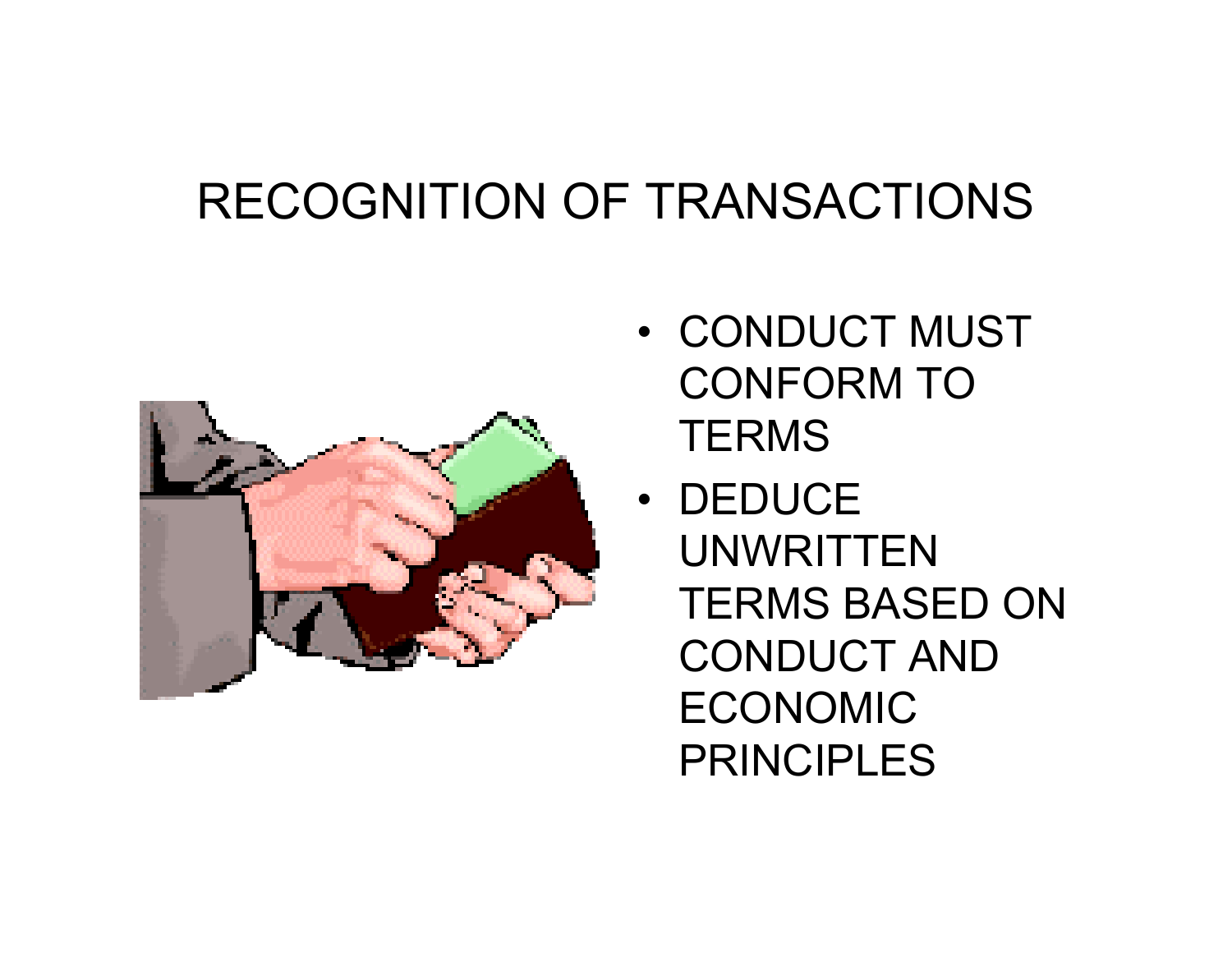#### RECOGNITION OF TRANSACTIONS



- CONDUCT MUST CONFORM TO **TERMS**
- •DEDUCE UNWRITTEN TERMS BASED ON CONDUCT AND ECONOMIC PRINCIPLES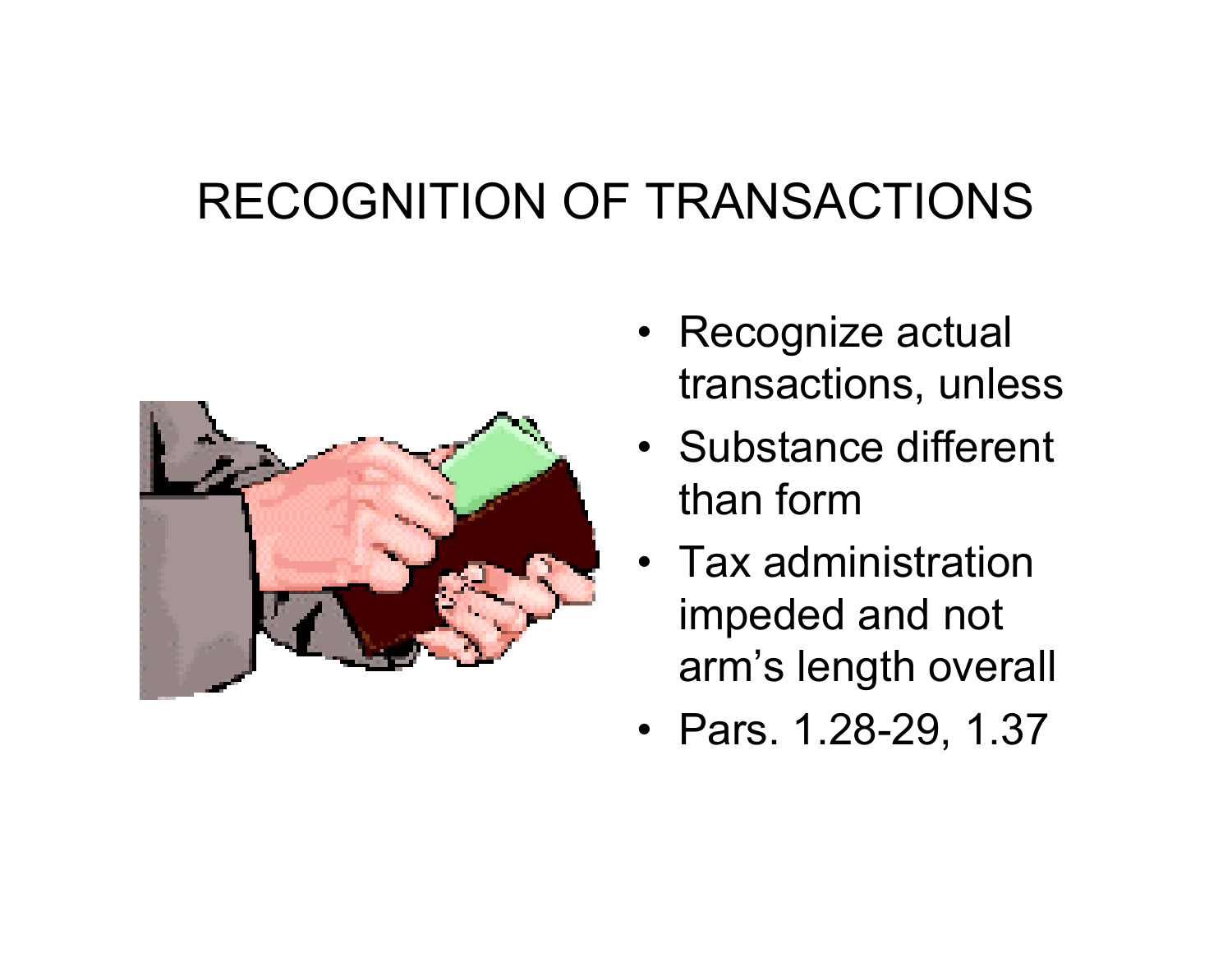#### RECOGNITION OF TRANSACTIONS



- Recognize actual transactions, unless
- Substance different than form
- $\bullet~$  Tax administration  $~$ impeded and not arm's length overall
- Pars. 1.28-29, 1.37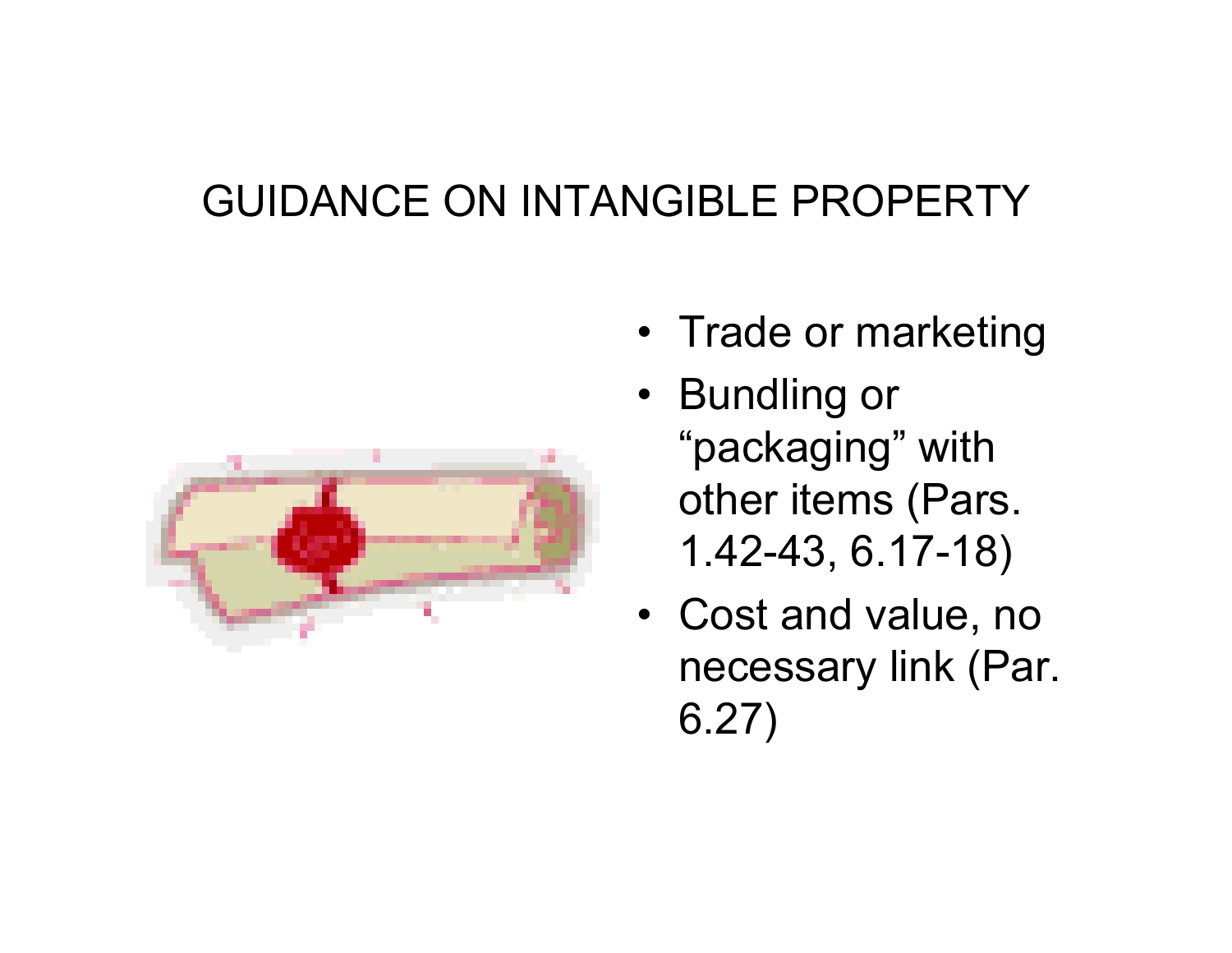#### GUIDANCE ON INTANGIBLE PROPERTY



- Trade or marketing
- Bundling or "packaging" with other items (Pars. 1.42-43, 6.17-18)
- Cost and value, no necessary link (Par. 6.27)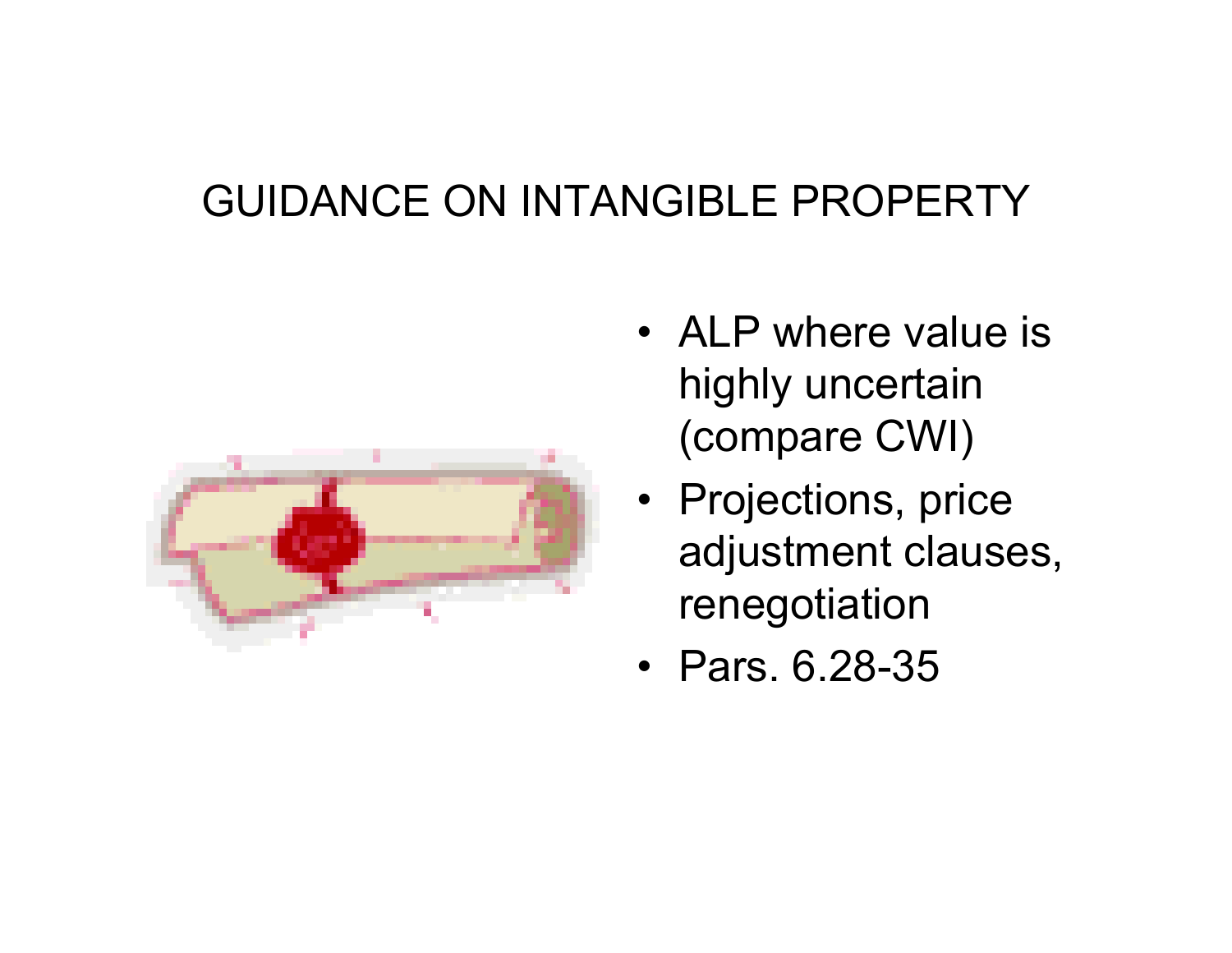#### GUIDANCE ON INTANGIBLE PROPERTY



- ALP where value is highly uncertain (compare CWI)
- Projections, price adjustment clauses, renegotiation
- •Pars. 6.28-35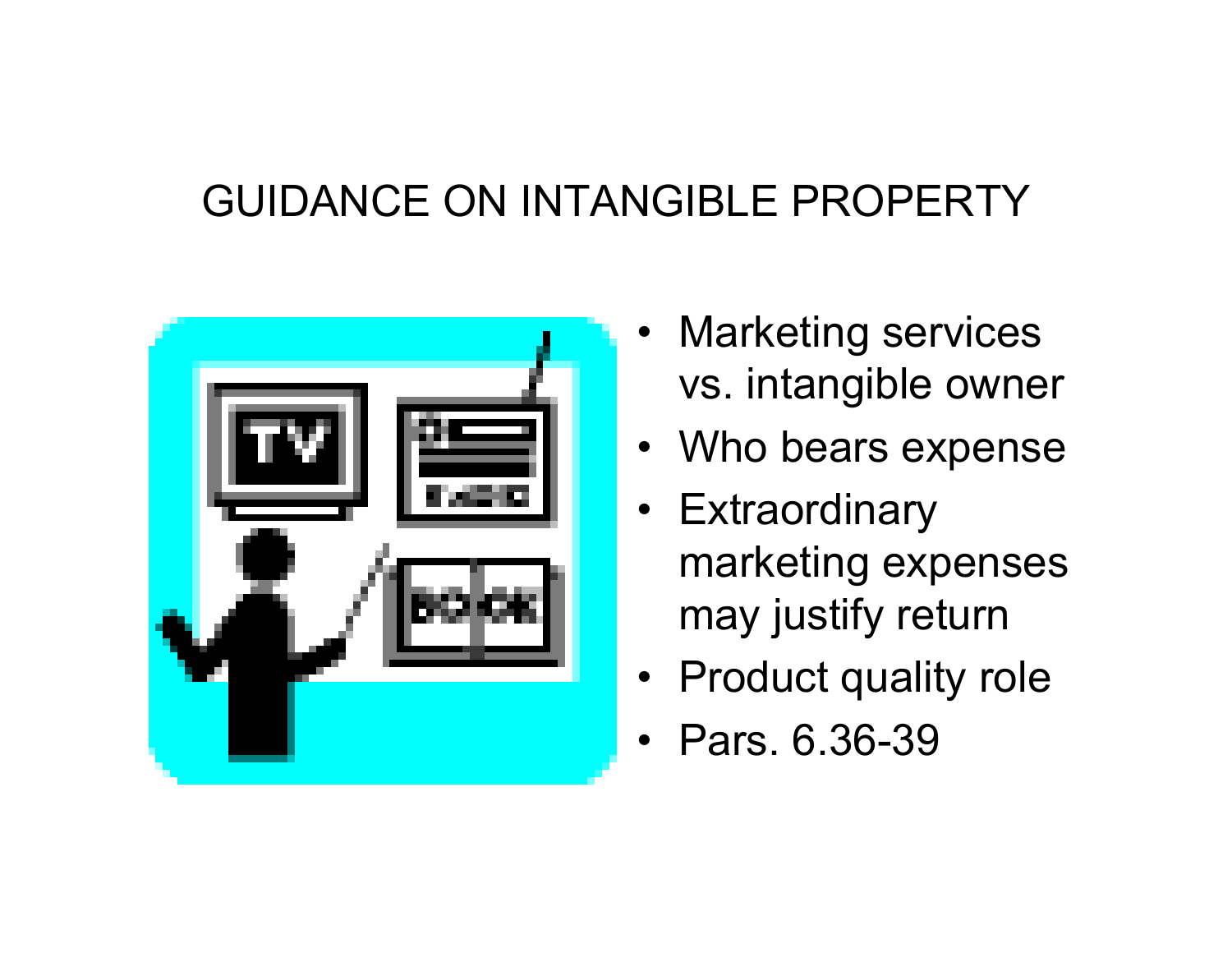#### GUIDANCE ON INTANGIBLE PROPERTY



- •Marketing services vs. intangible owner
- Who bears expense
- Extraordinary marketing expenses may justify return
- Product quality role
- •Pars. 6.36-39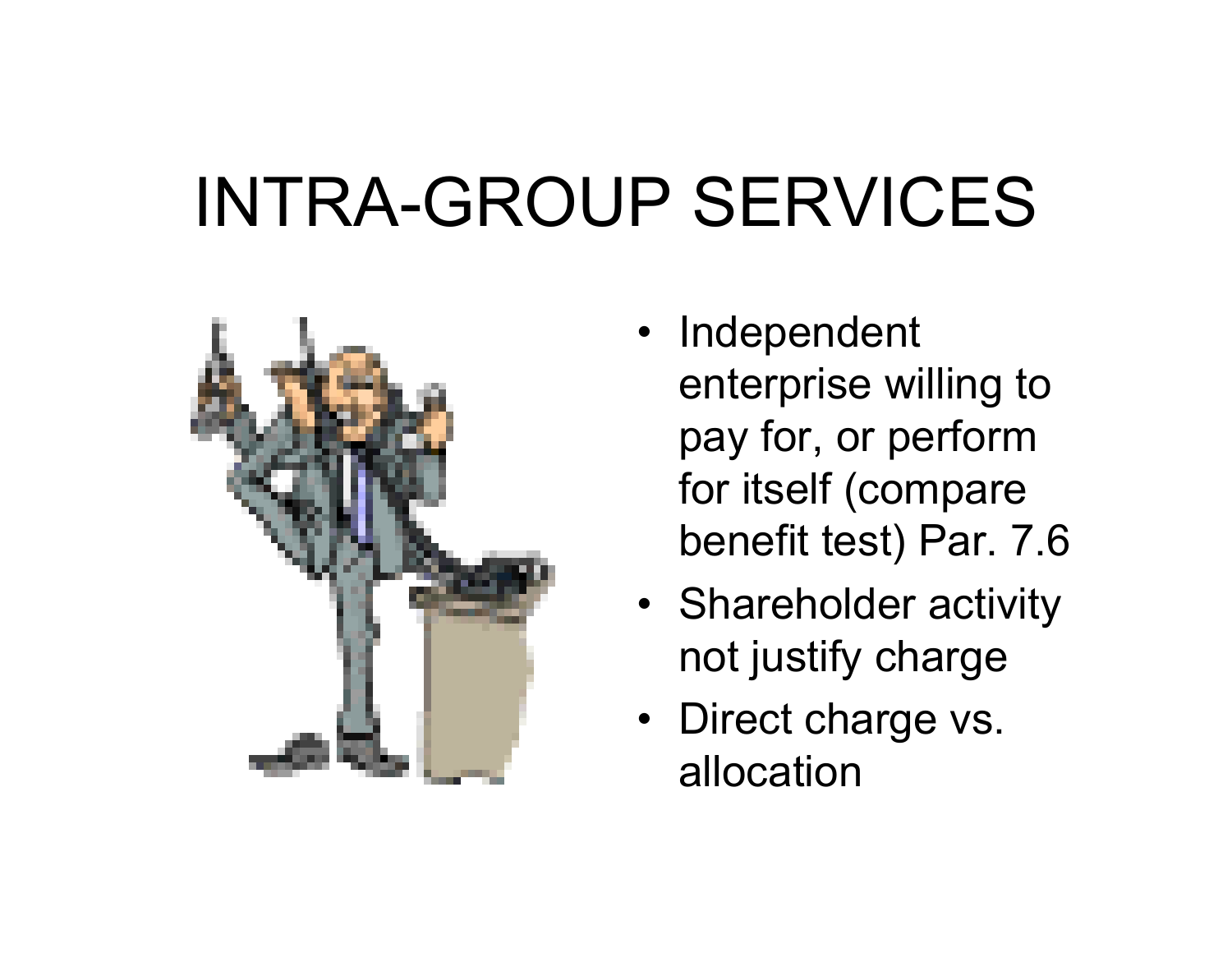# INTRA-GROUP SERVICES



- Independent enterprise willing to pay for, or perform for itself (compare benefit test) Par. 7.6
- Shareholder activity not justify charge
- Direct charge vs. allocation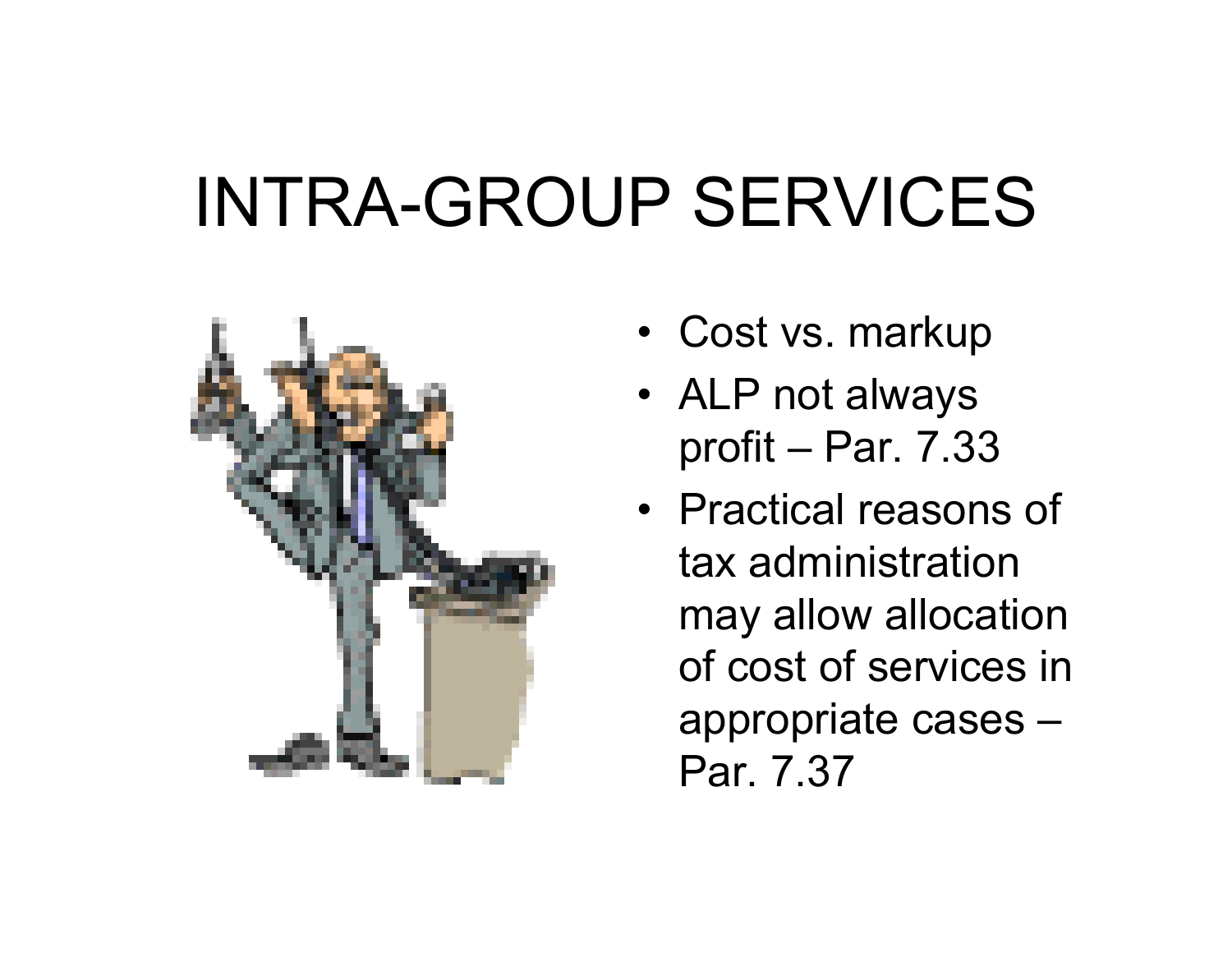# INTRA-GROUP SERVICES



- Cost vs. markup
- ALP not always profit – Par. 7.33
- Practical reasons of tax administration may allow allocation of cost of services in appropriate cases – Par. 7.37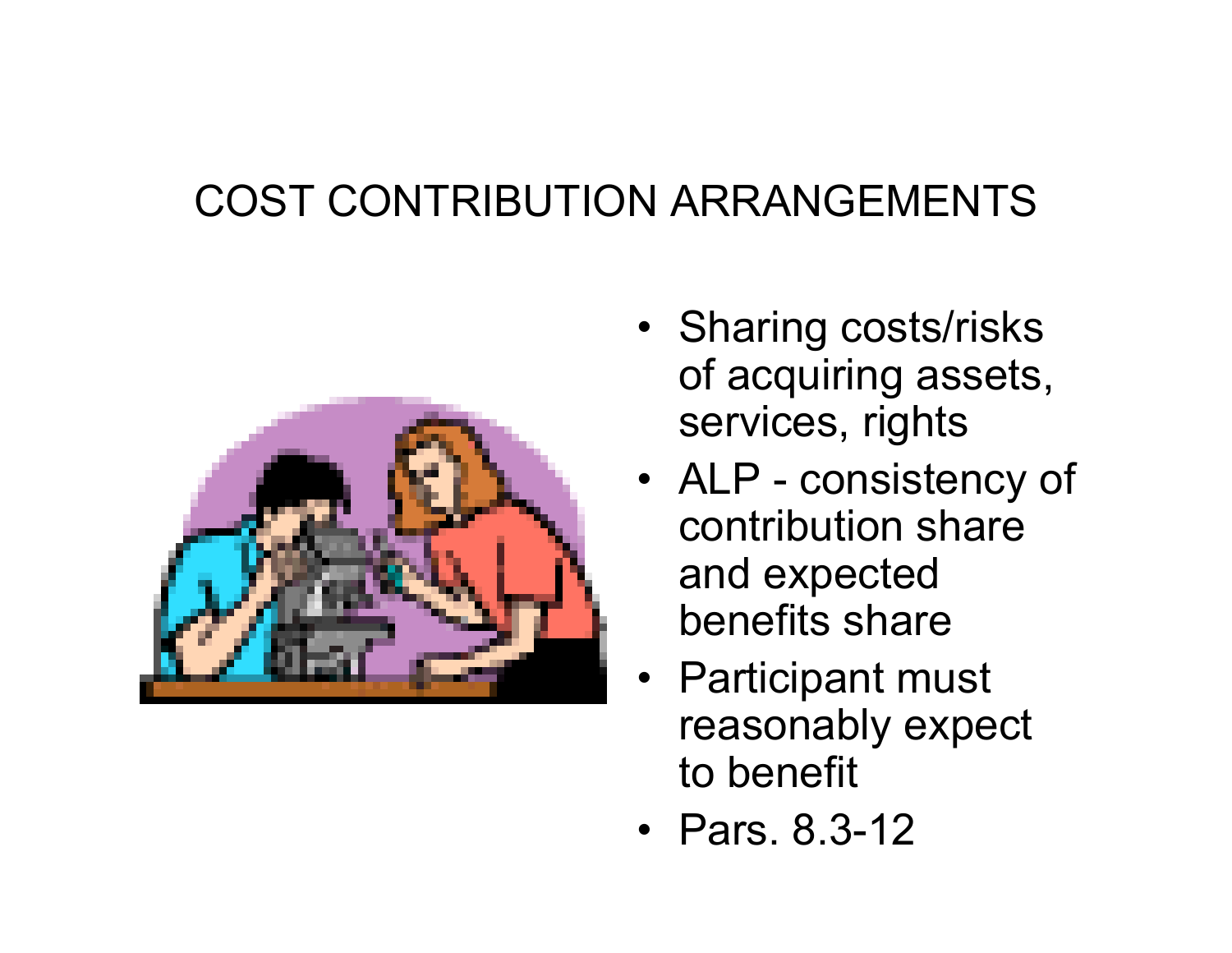#### COST CONTRIBUTION ARRANGEMENTS



- Sharing costs/risks of acquiring assets, services, rights
- ALP consistency of contribution share and expected benefits share
- Participant must reasonably expect to benefit
- •Pars. 8.3-12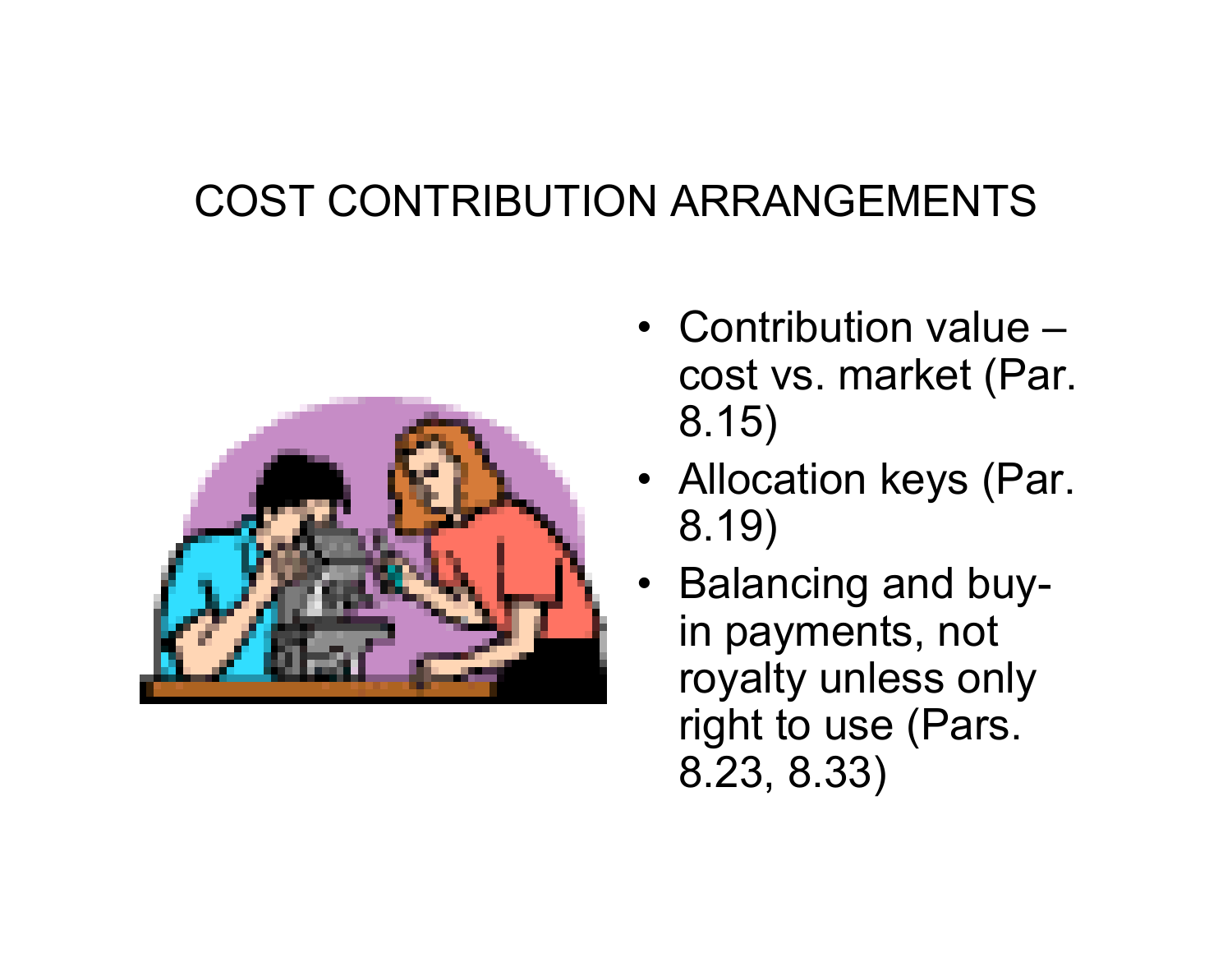#### COST CONTRIBUTION ARRANGEMENTS



- •Contribution value –cost vs. market (Par. 8.15)
- Allocation keys (Par. 8.19)
- Balancing and buyin payments, not royalty unless only right to use (Pars. 8.23, 8.33)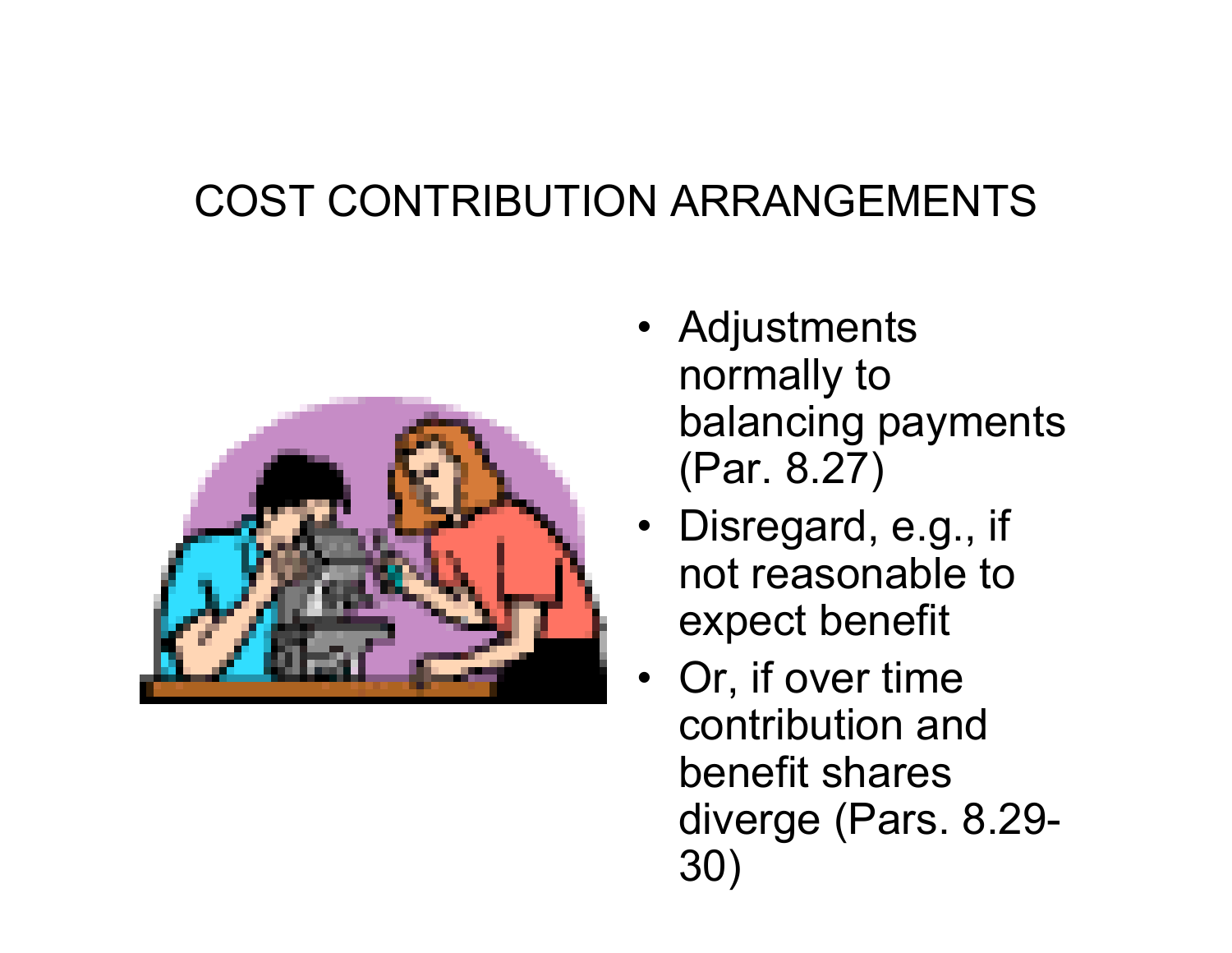#### COST CONTRIBUTION ARRANGEMENTS



- Adjustments normally to balancing payments (Par. 8.27)
- Disregard, e.g., if not reasonable to expect benefit
- Or, if over time contribution and benefit shares diverge (Pars. 8.29- 30)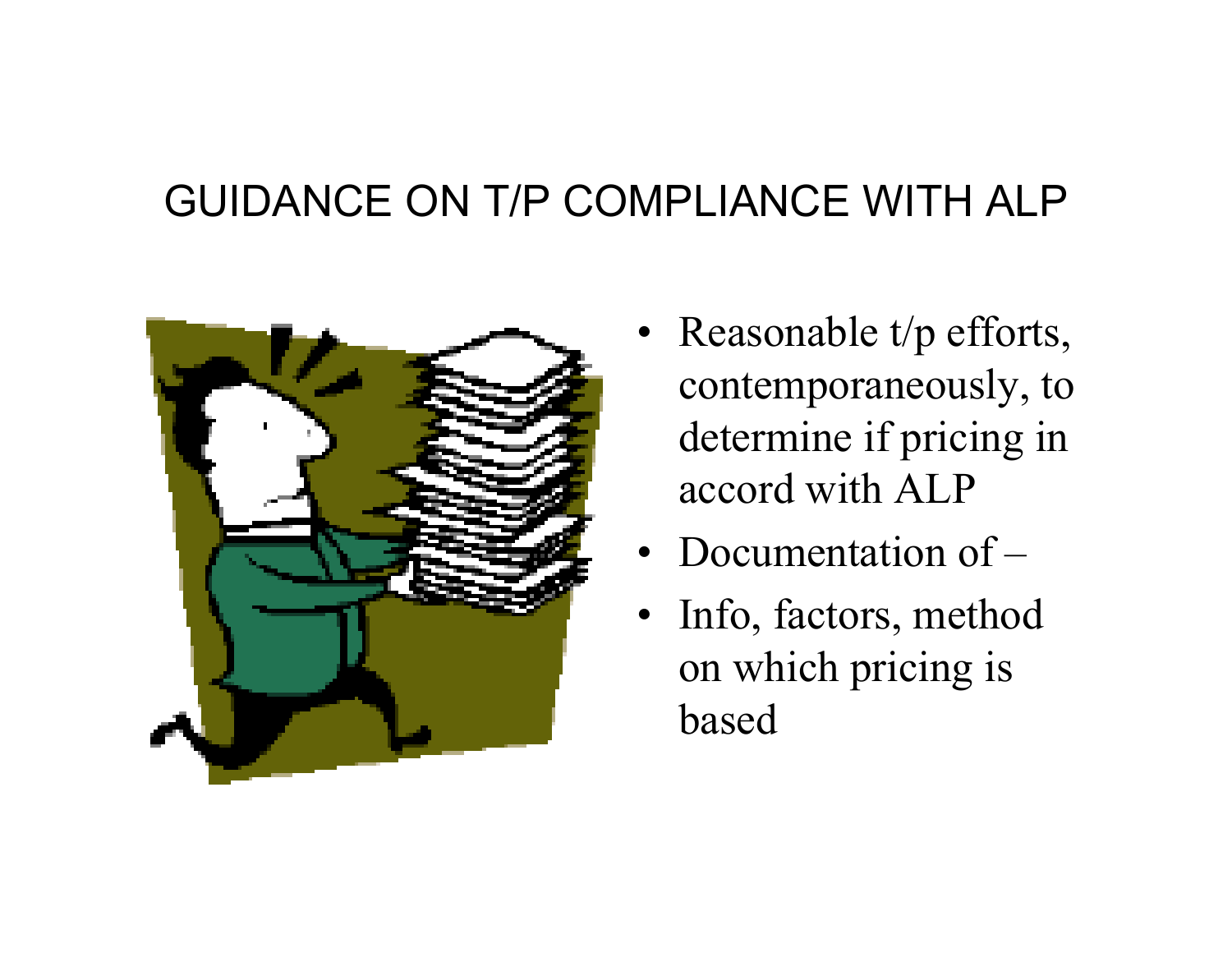#### GUIDANCE ON T/P COMPLIANCE WITH ALP



- Reasonable t/p efforts, contemporaneously, to determine if pricing in accord with ALP
- Documentation of –
- Info, factors, method on which pricing is based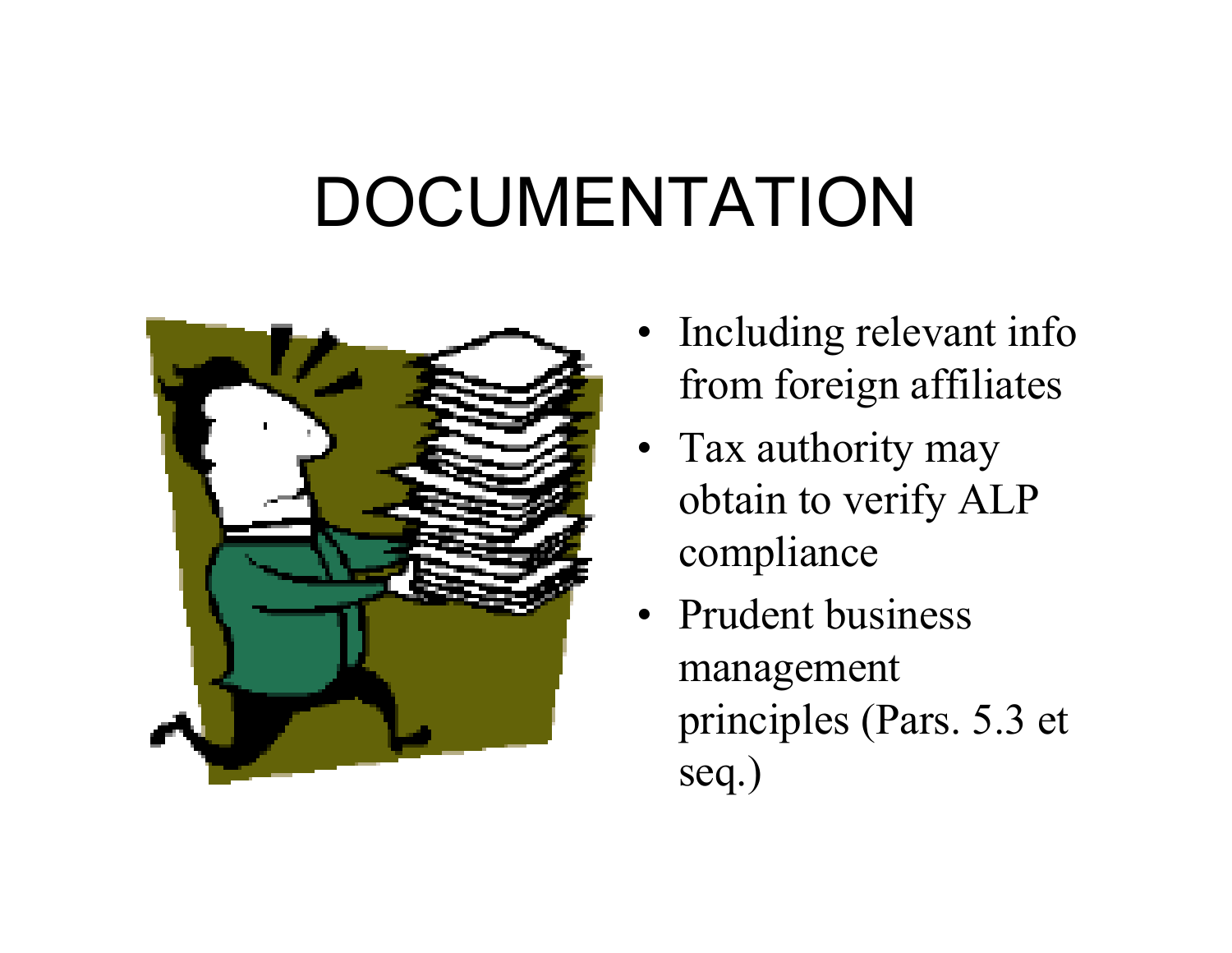### DOCUMENTATION



- •Including relevant info from foreign affiliates
- Tax authority may obtain to verify ALP compliance
- Prudent business management principles (Pars. 5.3 et seq.)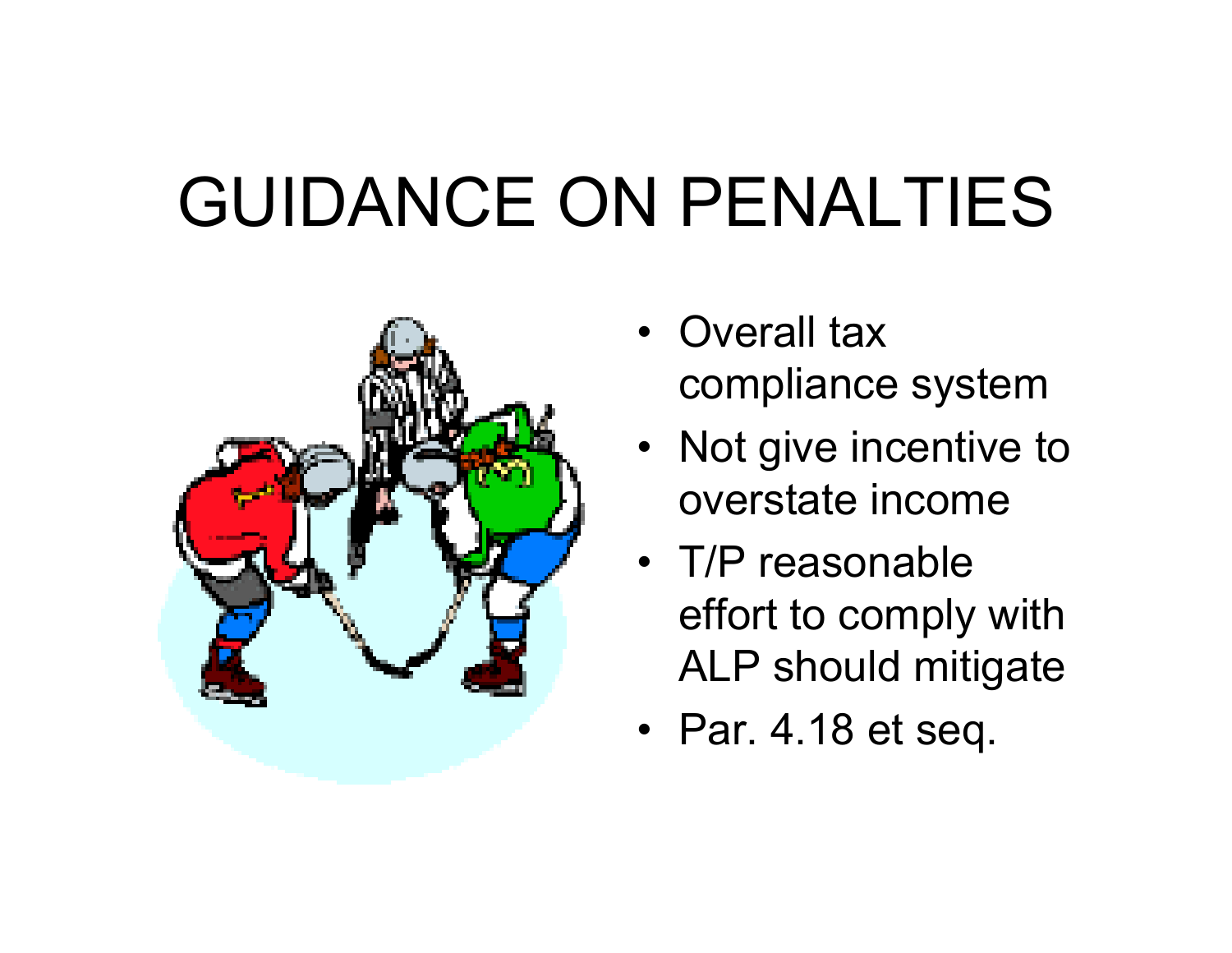# GUIDANCE ON PENALTIES



- Overall tax compliance system
- Not give incentive to overstate income
- •T/P reasonable effort to comply with ALP should mitigate
- Par. 4.18 et seq.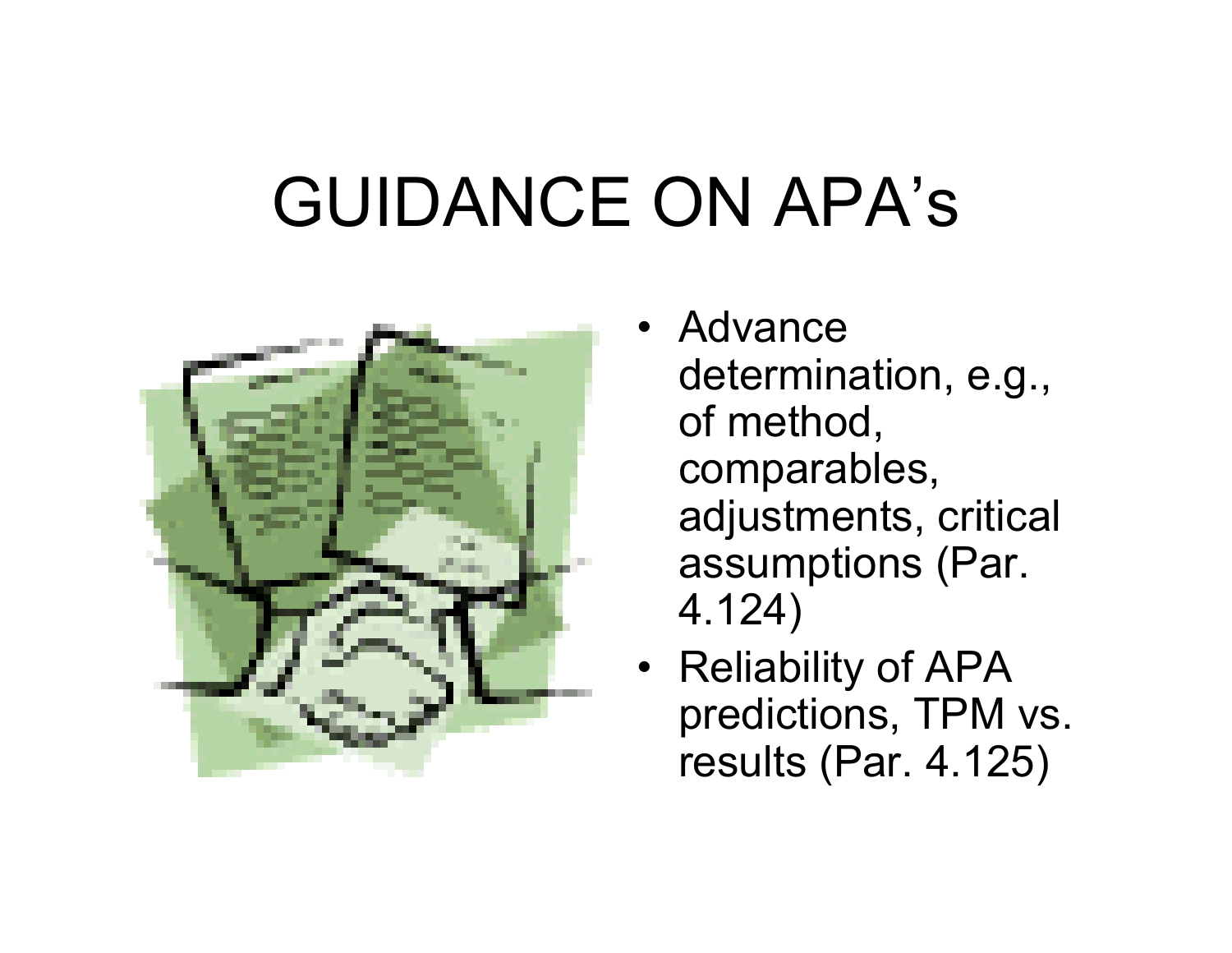# GUIDANCE ON APA's



- Advance determination, e.g., of method, comparables, adjustments, critical assumptions (Par. 4.124)
- Reliability of APA predictions, TPM vs. results (Par. 4.125)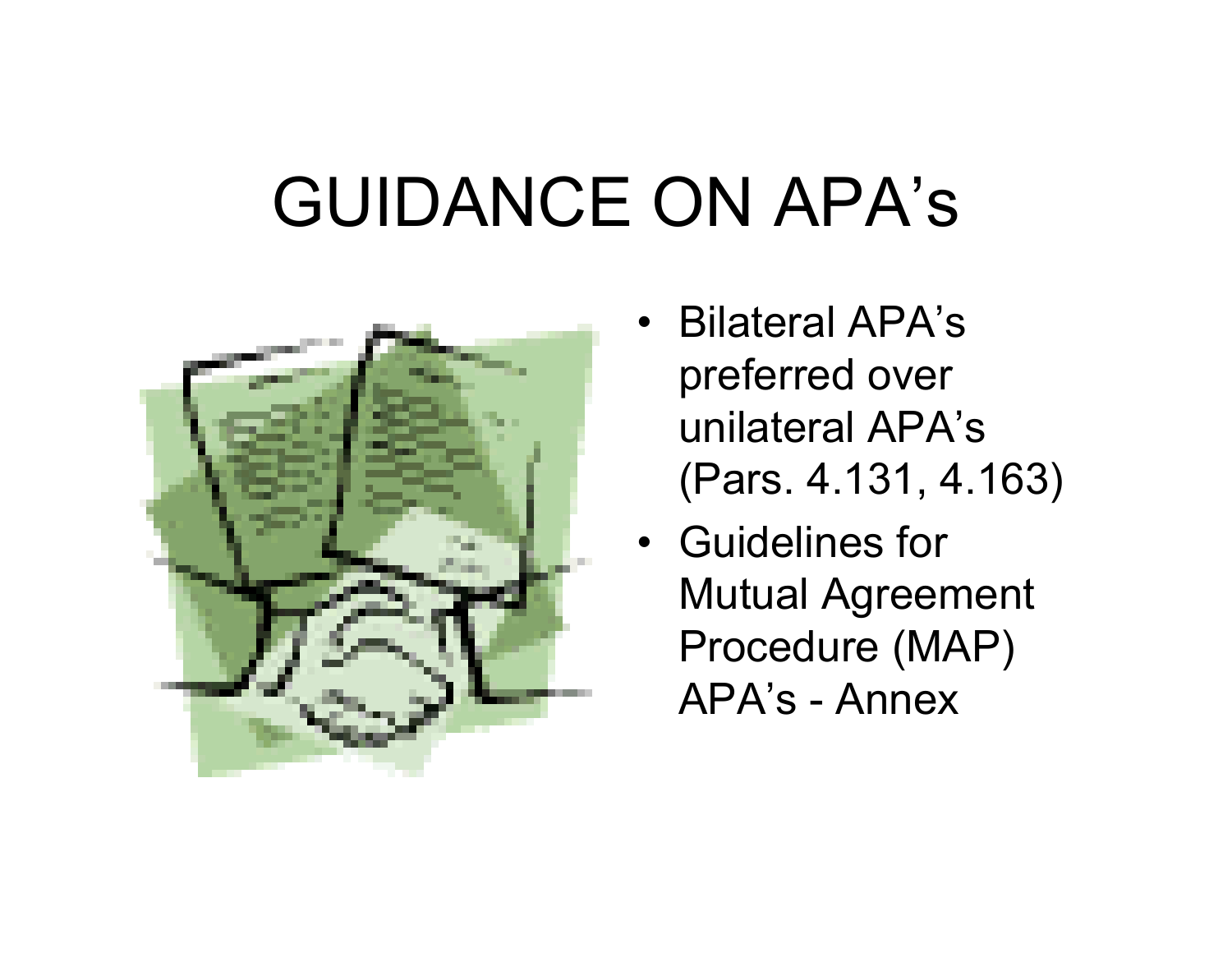## GUIDANCE ON APA's



- Bilateral APA's preferred over unilateral APA's (Pars. 4.131, 4.163)
- •Guidelines for Mutual Agreement Procedure (MAP) APA's - Annex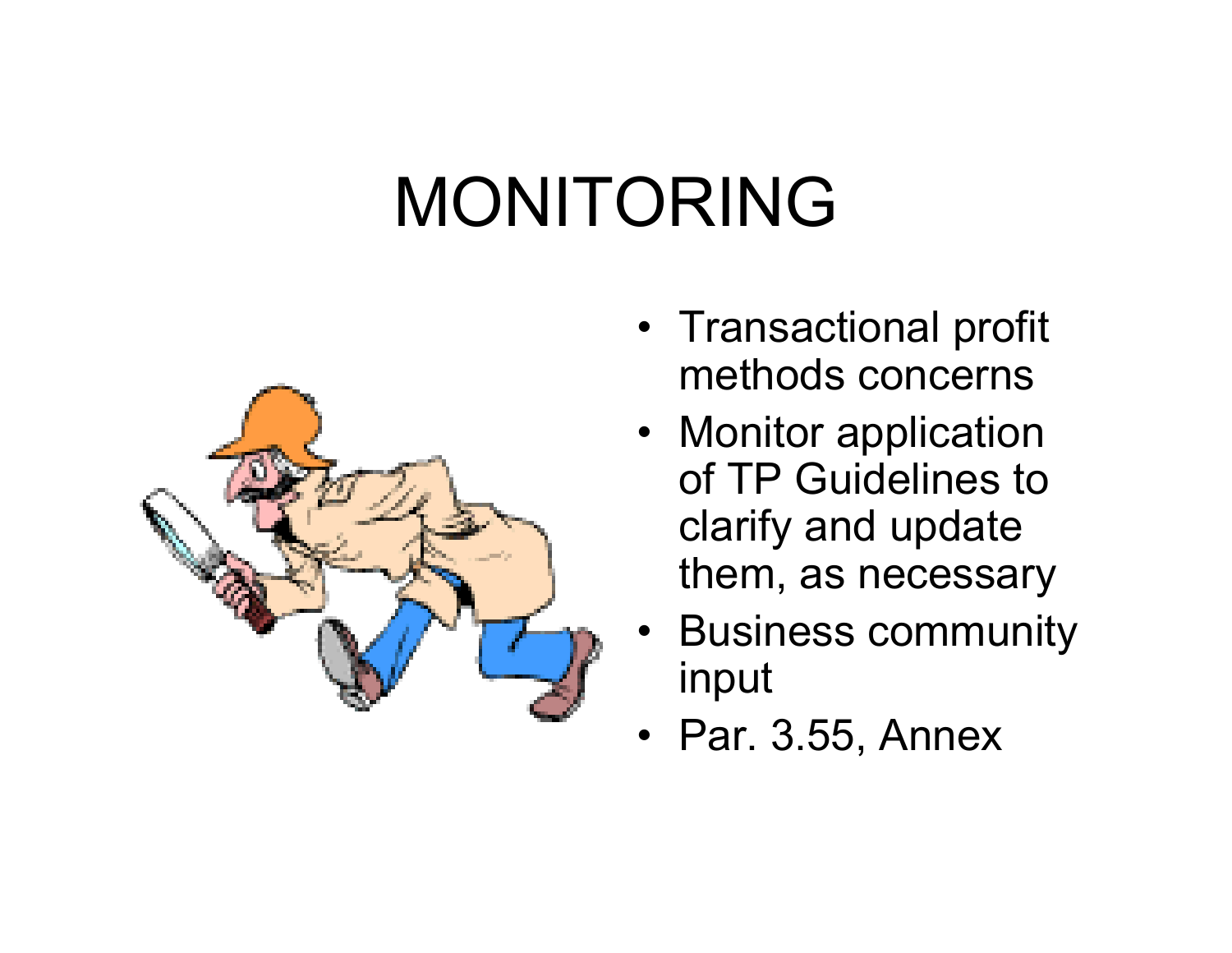## MONITORING



- Transactional profit methods concerns
- Monitor application of TP Guidelines to clarify and update them, as necessary
- Business community input
- Par. 3.55, Annex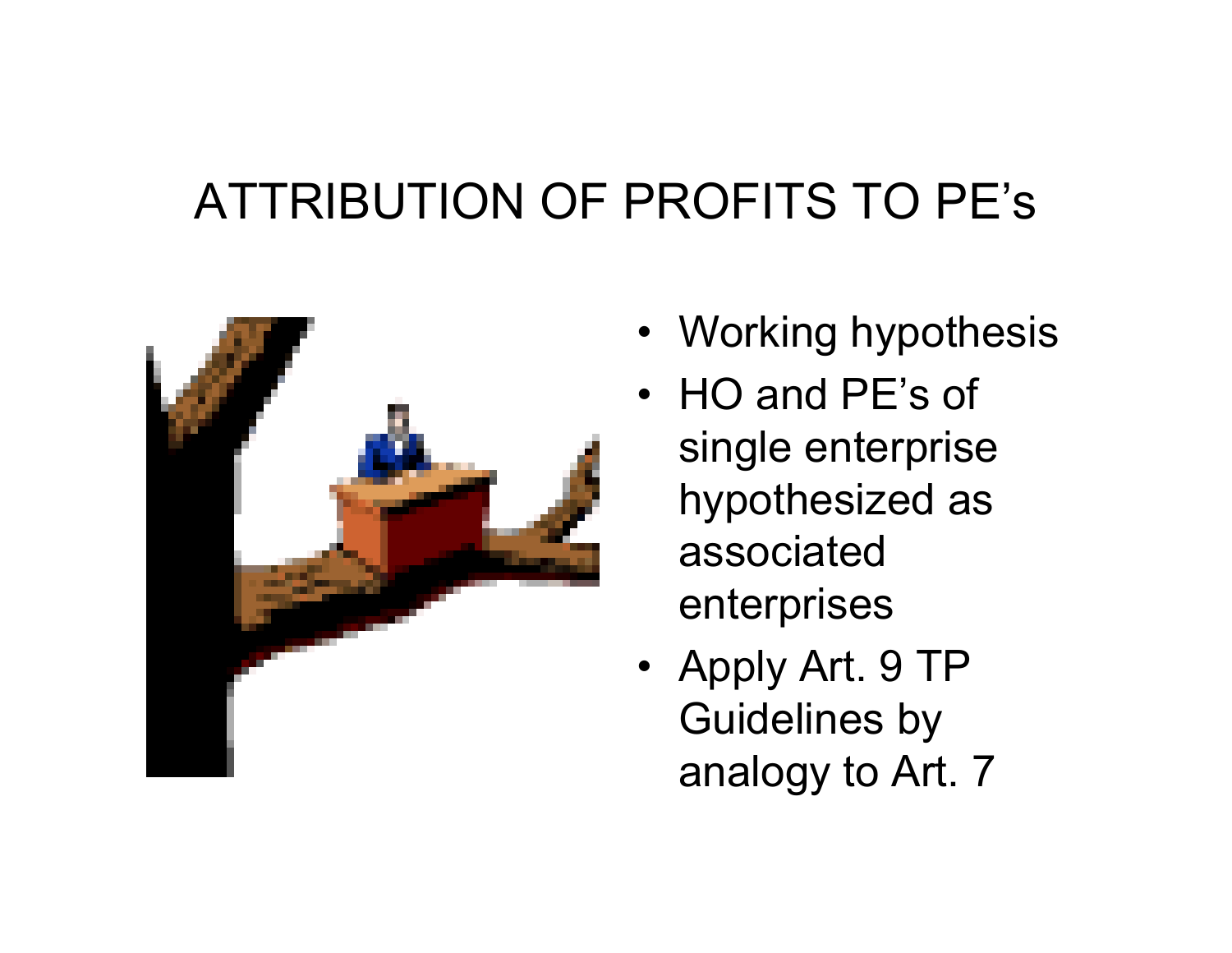#### ATTRIBUTION OF PROFITS TO PE's



- Working hypothesis
- HO and PE's of single enterprise hypothesized as associated enterprises
- Apply Art. 9 TP Guidelines by analogy to Art. 7